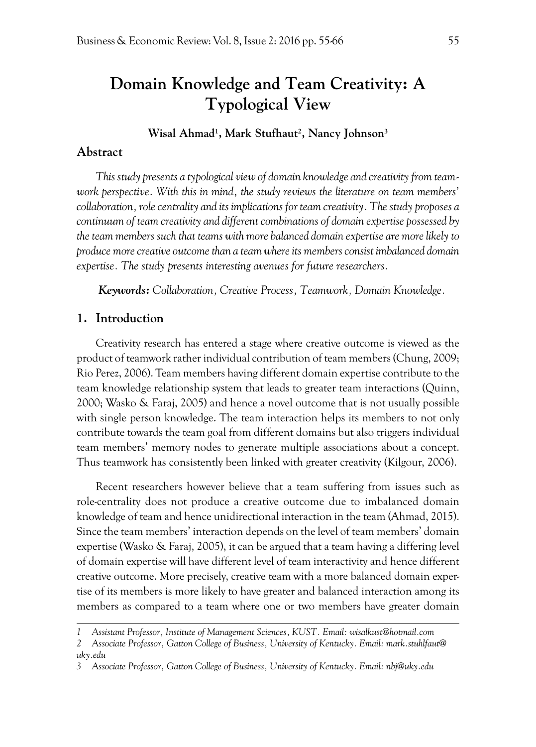# **Domain Knowledge and Team Creativity: A Typological View**

**Wisal Ahmad1 , Mark Stufhaut2 , Nancy Johnson3**

## **Abstract**

*This study presents a typological view of domain knowledge and creativity from teamwork perspective. With this in mind, the study reviews the literature on team members' collaboration, role centrality and its implications for team creativity. The study proposes a continuum of team creativity and different combinations of domain expertise possessed by the team members such that teams with more balanced domain expertise are more likely to produce more creative outcome than a team where its members consist imbalanced domain expertise. The study presents interesting avenues for future researchers.* 

*Keywords: Collaboration, Creative Process, Teamwork, Domain Knowledge.*

### **1. Introduction**

Creativity research has entered a stage where creative outcome is viewed as the product of teamwork rather individual contribution of team members (Chung, 2009; Rio Perez, 2006). Team members having different domain expertise contribute to the team knowledge relationship system that leads to greater team interactions (Quinn, 2000; Wasko & Faraj, 2005) and hence a novel outcome that is not usually possible with single person knowledge. The team interaction helps its members to not only contribute towards the team goal from different domains but also triggers individual team members' memory nodes to generate multiple associations about a concept. Thus teamwork has consistently been linked with greater creativity (Kilgour, 2006).

Recent researchers however believe that a team suffering from issues such as role-centrality does not produce a creative outcome due to imbalanced domain knowledge of team and hence unidirectional interaction in the team (Ahmad, 2015). Since the team members' interaction depends on the level of team members' domain expertise (Wasko & Faraj, 2005), it can be argued that a team having a differing level of domain expertise will have different level of team interactivity and hence different creative outcome. More precisely, creative team with a more balanced domain expertise of its members is more likely to have greater and balanced interaction among its members as compared to a team where one or two members have greater domain

*<sup>1</sup> Assistant Professor, Institute of Management Sciences, KUST. Email: wisalkust@hotmail.com*

*<sup>2</sup> Associate Professor, Gatton College of Business, University of Kentucky. Email: mark.stuhlfaut@ uky.edu*

*<sup>3</sup> Associate Professor, Gatton College of Business, University of Kentucky. Email: nbj@uky.edu*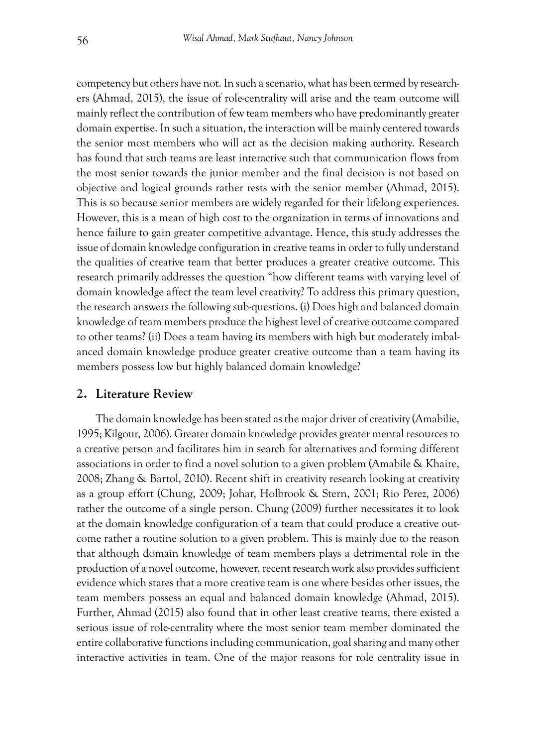competency but others have not. In such a scenario, what has been termed by researchers (Ahmad, 2015), the issue of role-centrality will arise and the team outcome will mainly reflect the contribution of few team members who have predominantly greater domain expertise. In such a situation, the interaction will be mainly centered towards the senior most members who will act as the decision making authority. Research has found that such teams are least interactive such that communication flows from the most senior towards the junior member and the final decision is not based on objective and logical grounds rather rests with the senior member (Ahmad, 2015). This is so because senior members are widely regarded for their lifelong experiences. However, this is a mean of high cost to the organization in terms of innovations and hence failure to gain greater competitive advantage. Hence, this study addresses the issue of domain knowledge configuration in creative teams in order to fully understand the qualities of creative team that better produces a greater creative outcome. This research primarily addresses the question "how different teams with varying level of domain knowledge affect the team level creativity? To address this primary question, the research answers the following sub-questions. (i) Does high and balanced domain knowledge of team members produce the highest level of creative outcome compared to other teams? (ii) Does a team having its members with high but moderately imbalanced domain knowledge produce greater creative outcome than a team having its members possess low but highly balanced domain knowledge?

#### **2. Literature Review**

The domain knowledge has been stated as the major driver of creativity (Amabilie, 1995; Kilgour, 2006). Greater domain knowledge provides greater mental resources to a creative person and facilitates him in search for alternatives and forming different associations in order to find a novel solution to a given problem (Amabile & Khaire, 2008; Zhang & Bartol, 2010). Recent shift in creativity research looking at creativity as a group effort (Chung, 2009; Johar, Holbrook & Stern, 2001; Rio Perez, 2006) rather the outcome of a single person. Chung (2009) further necessitates it to look at the domain knowledge configuration of a team that could produce a creative outcome rather a routine solution to a given problem. This is mainly due to the reason that although domain knowledge of team members plays a detrimental role in the production of a novel outcome, however, recent research work also provides sufficient evidence which states that a more creative team is one where besides other issues, the team members possess an equal and balanced domain knowledge (Ahmad, 2015). Further, Ahmad (2015) also found that in other least creative teams, there existed a serious issue of role-centrality where the most senior team member dominated the entire collaborative functions including communication, goal sharing and many other interactive activities in team. One of the major reasons for role centrality issue in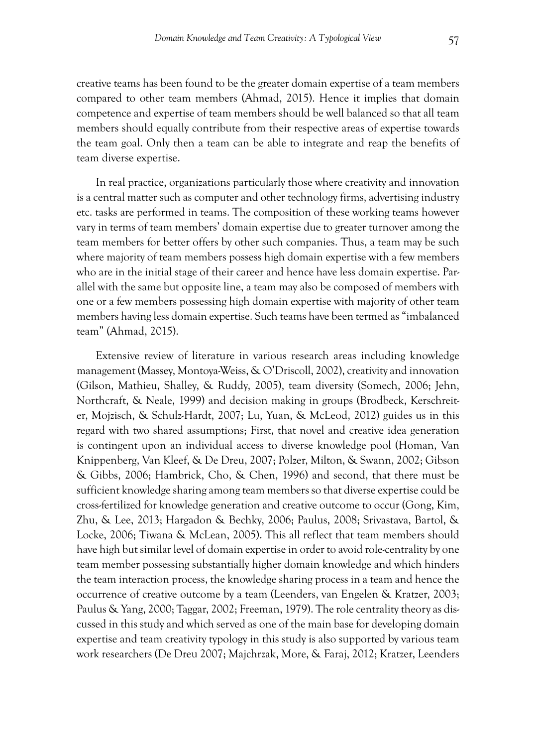creative teams has been found to be the greater domain expertise of a team members compared to other team members (Ahmad, 2015). Hence it implies that domain competence and expertise of team members should be well balanced so that all team members should equally contribute from their respective areas of expertise towards the team goal. Only then a team can be able to integrate and reap the benefits of team diverse expertise.

In real practice, organizations particularly those where creativity and innovation is a central matter such as computer and other technology firms, advertising industry etc. tasks are performed in teams. The composition of these working teams however vary in terms of team members' domain expertise due to greater turnover among the team members for better offers by other such companies. Thus, a team may be such where majority of team members possess high domain expertise with a few members who are in the initial stage of their career and hence have less domain expertise. Parallel with the same but opposite line, a team may also be composed of members with one or a few members possessing high domain expertise with majority of other team members having less domain expertise. Such teams have been termed as "imbalanced team" (Ahmad, 2015).

Extensive review of literature in various research areas including knowledge management (Massey, Montoya-Weiss, & O'Driscoll, 2002), creativity and innovation (Gilson, Mathieu, Shalley, & Ruddy, 2005), team diversity (Somech, 2006; Jehn, Northcraft, & Neale, 1999) and decision making in groups (Brodbeck, Kerschreiter, Mojzisch, & Schulz-Hardt, 2007; Lu, Yuan, & McLeod, 2012) guides us in this regard with two shared assumptions; First, that novel and creative idea generation is contingent upon an individual access to diverse knowledge pool (Homan, Van Knippenberg, Van Kleef, & De Dreu, 2007; Polzer, Milton, & Swann, 2002; Gibson & Gibbs, 2006; Hambrick, Cho, & Chen, 1996) and second, that there must be sufficient knowledge sharing among team members so that diverse expertise could be cross-fertilized for knowledge generation and creative outcome to occur (Gong, Kim, Zhu, & Lee, 2013; Hargadon & Bechky, 2006; Paulus, 2008; Srivastava, Bartol, & Locke, 2006; Tiwana & McLean, 2005). This all reflect that team members should have high but similar level of domain expertise in order to avoid role-centrality by one team member possessing substantially higher domain knowledge and which hinders the team interaction process, the knowledge sharing process in a team and hence the occurrence of creative outcome by a team (Leenders, van Engelen & Kratzer, 2003; Paulus & Yang, 2000; Taggar, 2002; Freeman, 1979). The role centrality theory as discussed in this study and which served as one of the main base for developing domain expertise and team creativity typology in this study is also supported by various team work researchers (De Dreu 2007; Majchrzak, More, & Faraj, 2012; Kratzer, Leenders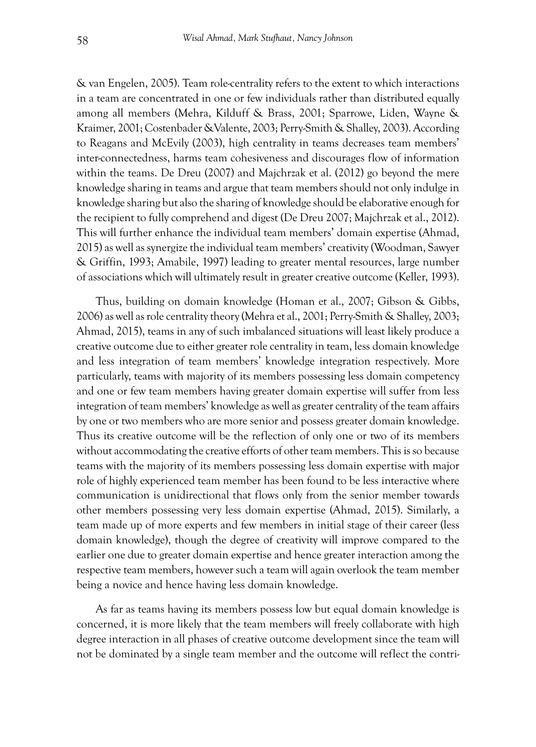& van Engelen, 2005). Team role-centrality refers to the extent to which interactions in a team are concentrated in one or few individuals rather than distributed equally among all members (Mehra, Kilduff & Brass, 2001; Sparrowe, Liden, Wayne & Kraimer, 2001; Costenbader &Valente, 2003; Perry-Smith & Shalley, 2003). According to Reagans and McEvily (2003), high centrality in teams decreases team members' inter-connectedness, harms team cohesiveness and discourages flow of information within the teams. De Dreu (2007) and Majchrzak et al. (2012) go beyond the mere knowledge sharing in teams and argue that team members should not only indulge in knowledge sharing but also the sharing of knowledge should be elaborative enough for the recipient to fully comprehend and digest (De Dreu 2007; Majchrzak et al., 2012). This will further enhance the individual team members' domain expertise (Ahmad, 2015) as well as synergize the individual team members' creativity (Woodman, Sawyer & Griffin, 1993; Amabile, 1997) leading to greater mental resources, large number of associations which will ultimately result in greater creative outcome (Keller, 1993).

Thus, building on domain knowledge (Homan et al., 2007; Gibson & Gibbs, 2006) as well as role centrality theory (Mehra et al., 2001; Perry-Smith & Shalley, 2003; Ahmad, 2015), teams in any of such imbalanced situations will least likely produce a creative outcome due to either greater role centrality in team, less domain knowledge and less integration of team members' knowledge integration respectively. More particularly, teams with majority of its members possessing less domain competency and one or few team members having greater domain expertise will suffer from less integration of team members' knowledge as well as greater centrality of the team affairs by one or two members who are more senior and possess greater domain knowledge. Thus its creative outcome will be the reflection of only one or two of its members without accommodating the creative efforts of other team members. This is so because teams with the majority of its members possessing less domain expertise with major role of highly experienced team member has been found to be less interactive where communication is unidirectional that flows only from the senior member towards other members possessing very less domain expertise (Ahmad, 2015). Similarly, a team made up of more experts and few members in initial stage of their career (less domain knowledge), though the degree of creativity will improve compared to the earlier one due to greater domain expertise and hence greater interaction among the respective team members, however such a team will again overlook the team member being a novice and hence having less domain knowledge.

As far as teams having its members possess low but equal domain knowledge is concerned, it is more likely that the team members will freely collaborate with high degree interaction in all phases of creative outcome development since the team will not be dominated by a single team member and the outcome will reflect the contri-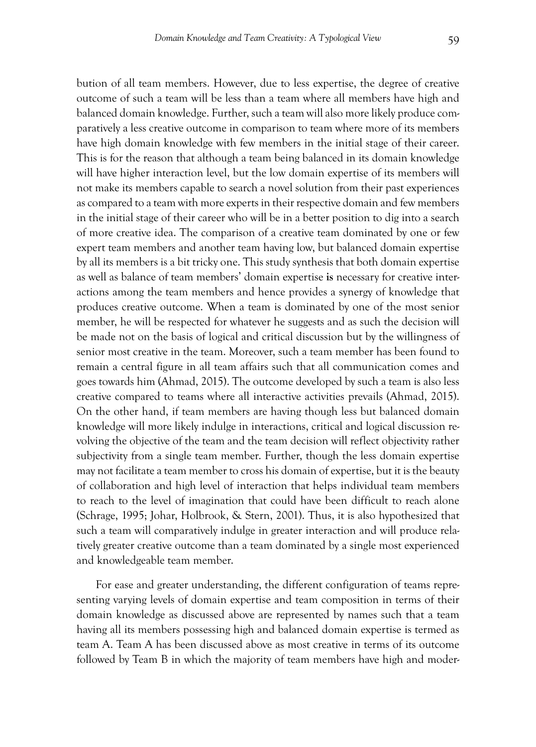bution of all team members. However, due to less expertise, the degree of creative outcome of such a team will be less than a team where all members have high and balanced domain knowledge. Further, such a team will also more likely produce comparatively a less creative outcome in comparison to team where more of its members have high domain knowledge with few members in the initial stage of their career. This is for the reason that although a team being balanced in its domain knowledge will have higher interaction level, but the low domain expertise of its members will not make its members capable to search a novel solution from their past experiences as compared to a team with more experts in their respective domain and few members in the initial stage of their career who will be in a better position to dig into a search of more creative idea. The comparison of a creative team dominated by one or few expert team members and another team having low, but balanced domain expertise by all its members is a bit tricky one. This study synthesis that both domain expertise as well as balance of team members' domain expertise **is** necessary for creative interactions among the team members and hence provides a synergy of knowledge that produces creative outcome. When a team is dominated by one of the most senior member, he will be respected for whatever he suggests and as such the decision will be made not on the basis of logical and critical discussion but by the willingness of senior most creative in the team. Moreover, such a team member has been found to remain a central figure in all team affairs such that all communication comes and goes towards him (Ahmad, 2015). The outcome developed by such a team is also less creative compared to teams where all interactive activities prevails (Ahmad, 2015). On the other hand, if team members are having though less but balanced domain knowledge will more likely indulge in interactions, critical and logical discussion revolving the objective of the team and the team decision will reflect objectivity rather subjectivity from a single team member. Further, though the less domain expertise may not facilitate a team member to cross his domain of expertise, but it is the beauty of collaboration and high level of interaction that helps individual team members to reach to the level of imagination that could have been difficult to reach alone (Schrage, 1995; Johar, Holbrook, & Stern, 2001). Thus, it is also hypothesized that such a team will comparatively indulge in greater interaction and will produce relatively greater creative outcome than a team dominated by a single most experienced and knowledgeable team member.

For ease and greater understanding, the different configuration of teams representing varying levels of domain expertise and team composition in terms of their domain knowledge as discussed above are represented by names such that a team having all its members possessing high and balanced domain expertise is termed as team A. Team A has been discussed above as most creative in terms of its outcome followed by Team B in which the majority of team members have high and moder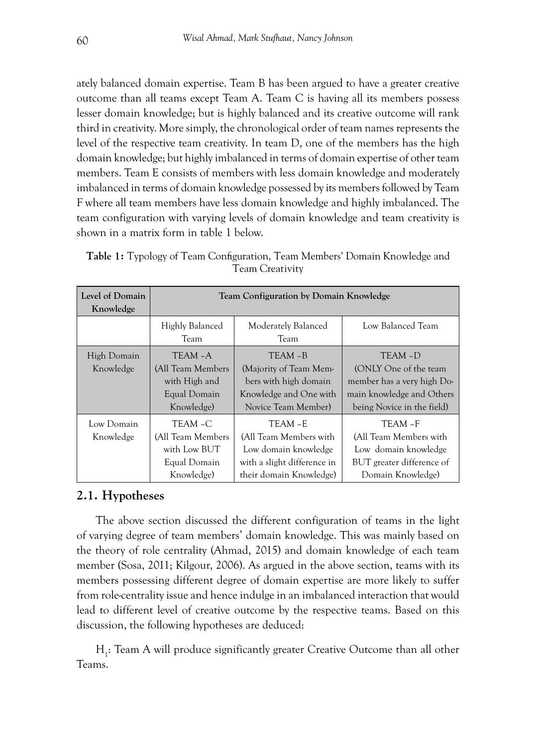ately balanced domain expertise. Team B has been argued to have a greater creative outcome than all teams except Team A. Team C is having all its members possess lesser domain knowledge; but is highly balanced and its creative outcome will rank third in creativity. More simply, the chronological order of team names represents the level of the respective team creativity. In team D, one of the members has the high domain knowledge; but highly imbalanced in terms of domain expertise of other team members. Team E consists of members with less domain knowledge and moderately imbalanced in terms of domain knowledge possessed by its members followed by Team F where all team members have less domain knowledge and highly imbalanced. The team configuration with varying levels of domain knowledge and team creativity is shown in a matrix form in table 1 below.

| <b>I CAIII CICALIVILY</b>    |                                                                             |                                                                                                            |                                                                                                                          |
|------------------------------|-----------------------------------------------------------------------------|------------------------------------------------------------------------------------------------------------|--------------------------------------------------------------------------------------------------------------------------|
| Level of Domain<br>Knowledge | <b>Team Configuration by Domain Knowledge</b>                               |                                                                                                            |                                                                                                                          |
|                              | Highly Balanced<br>Team                                                     | Moderately Balanced<br>Team                                                                                | Low Balanced Team                                                                                                        |
| High Domain<br>Knowledge     | TEAM -A<br>(All Team Members<br>with High and<br>Equal Domain<br>Knowledge) | TEAM-B<br>(Majority of Team Mem-<br>bers with high domain<br>Knowledge and One with<br>Novice Team Member) | TEAM-D<br>(ONLY One of the team<br>member has a very high Do-<br>main knowledge and Others<br>being Novice in the field) |
| Low Domain<br>Knowledge      | TEAM -C<br>(All Team Members<br>with Low BUT                                | TEAM - E<br>(All Team Members with<br>Low domain knowledge                                                 | TEAM-F<br>(All Team Members with<br>Low domain knowledge                                                                 |

with a slight difference in their domain Knowledge)

BUT greater difference of Domain Knowledge)

**Table 1:** Typology of Team Configuration, Team Members' Domain Knowledge and Team Creativity

# **2.1. Hypotheses**

Equal Domain Knowledge)

The above section discussed the different configuration of teams in the light of varying degree of team members' domain knowledge. This was mainly based on the theory of role centrality (Ahmad, 2015) and domain knowledge of each team member (Sosa, 2011; Kilgour, 2006). As argued in the above section, teams with its members possessing different degree of domain expertise are more likely to suffer from role-centrality issue and hence indulge in an imbalanced interaction that would lead to different level of creative outcome by the respective teams. Based on this discussion, the following hypotheses are deduced:

H<sub>1</sub>: Team A will produce significantly greater Creative Outcome than all other Teams.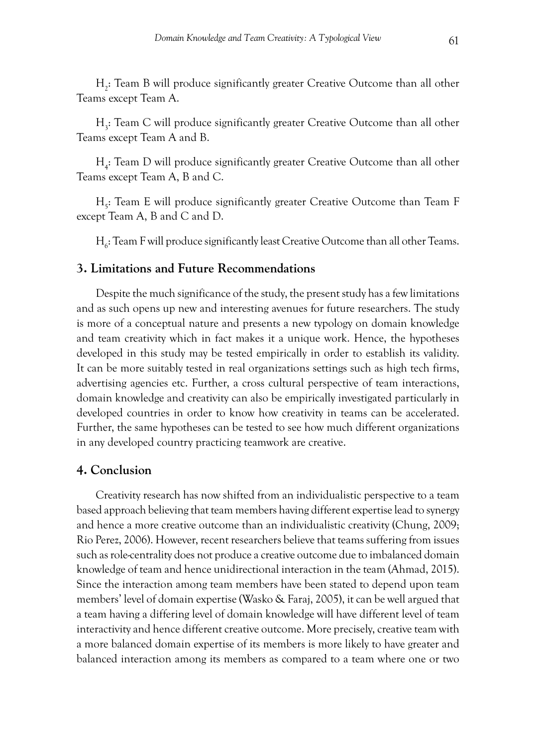H2 : Team B will produce significantly greater Creative Outcome than all other Teams except Team A.

H3 : Team C will produce significantly greater Creative Outcome than all other Teams except Team A and B.

H4 : Team D will produce significantly greater Creative Outcome than all other Teams except Team A, B and C.

H<sub>5</sub>: Team E will produce significantly greater Creative Outcome than Team F except Team A, B and C and D.

 $\mathrm{H}_6$ : Team F will produce significantly least Creative Outcome than all other Teams.

## **3. Limitations and Future Recommendations**

Despite the much significance of the study, the present study has a few limitations and as such opens up new and interesting avenues for future researchers. The study is more of a conceptual nature and presents a new typology on domain knowledge and team creativity which in fact makes it a unique work. Hence, the hypotheses developed in this study may be tested empirically in order to establish its validity. It can be more suitably tested in real organizations settings such as high tech firms, advertising agencies etc. Further, a cross cultural perspective of team interactions, domain knowledge and creativity can also be empirically investigated particularly in developed countries in order to know how creativity in teams can be accelerated. Further, the same hypotheses can be tested to see how much different organizations in any developed country practicing teamwork are creative.

#### **4. Conclusion**

Creativity research has now shifted from an individualistic perspective to a team based approach believing that team members having different expertise lead to synergy and hence a more creative outcome than an individualistic creativity (Chung, 2009; Rio Perez, 2006). However, recent researchers believe that teams suffering from issues such as role-centrality does not produce a creative outcome due to imbalanced domain knowledge of team and hence unidirectional interaction in the team (Ahmad, 2015). Since the interaction among team members have been stated to depend upon team members' level of domain expertise (Wasko & Faraj, 2005), it can be well argued that a team having a differing level of domain knowledge will have different level of team interactivity and hence different creative outcome. More precisely, creative team with a more balanced domain expertise of its members is more likely to have greater and balanced interaction among its members as compared to a team where one or two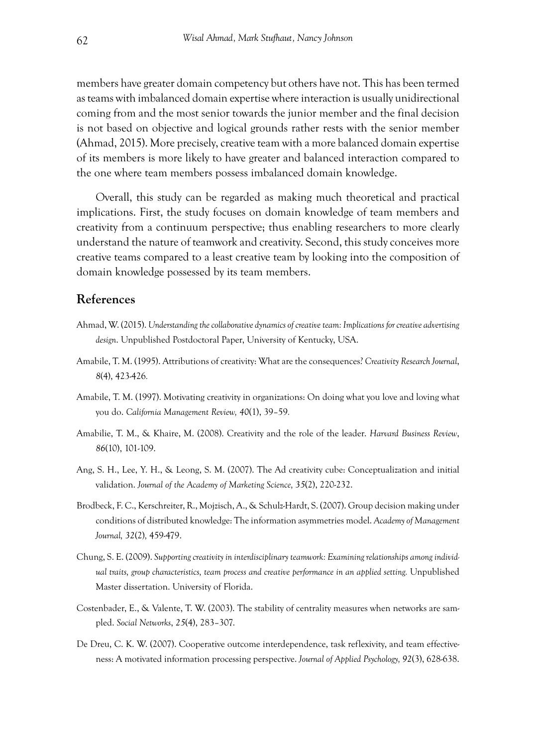members have greater domain competency but others have not. This has been termed as teams with imbalanced domain expertise where interaction is usually unidirectional coming from and the most senior towards the junior member and the final decision is not based on objective and logical grounds rather rests with the senior member (Ahmad, 2015). More precisely, creative team with a more balanced domain expertise of its members is more likely to have greater and balanced interaction compared to the one where team members possess imbalanced domain knowledge.

Overall, this study can be regarded as making much theoretical and practical implications. First, the study focuses on domain knowledge of team members and creativity from a continuum perspective; thus enabling researchers to more clearly understand the nature of teamwork and creativity. Second, this study conceives more creative teams compared to a least creative team by looking into the composition of domain knowledge possessed by its team members.

## **References**

- Ahmad, W. (2015). *Understanding the collaborative dynamics of creative team: Implications for creative advertising design*. Unpublished Postdoctoral Paper, University of Kentucky, USA.
- Amabile, T. M. (1995). Attributions of creativity: What are the consequences? *Creativity Research Journal*, *8*(4), 423-426*.*
- Amabile, T. M. (1997). Motivating creativity in organizations: On doing what you love and loving what you do. *California Management Review, 40*(1), 39–59*.*
- Amabilie, T. M., & Khaire, M. (2008). Creativity and the role of the leader. *Harvard Business Review*, *86*(10), 101-109.
- Ang, S. H., Lee, Y. H., & Leong, S. M. (2007). The Ad creativity cube: Conceptualization and initial validation. *Journal of the Academy of Marketing Science, 35*(2), 220-232.
- Brodbeck, F. C., Kerschreiter, R., Mojzisch, A., & Schulz-Hardt, S. (2007). Group decision making under conditions of distributed knowledge: The information asymmetries model. *Academy of Management Journal, 32*(2)*,* 459-479.
- Chung, S. E. (2009). *Supporting creativity in interdisciplinary teamwork: Examining relationships among individual traits, group characteristics, team process and creative performance in an applied setting.* Unpublished Master dissertation. University of Florida.
- Costenbader, E., & Valente, T. W. (2003). The stability of centrality measures when networks are sampled. *Social Networks*, *25*(4), 283–307.
- De Dreu, C. K. W. (2007). Cooperative outcome interdependence, task reflexivity, and team effectiveness: A motivated information processing perspective. *Journal of Applied Psychology, 92*(3), 628-638.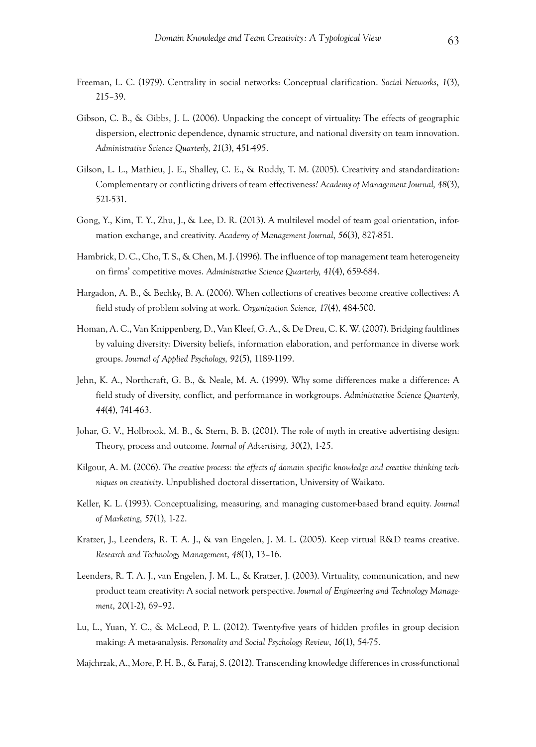- Freeman, L. C. (1979). Centrality in social networks: Conceptual clarification. *Social Networks*, *1*(3), 215–39.
- Gibson, C. B., & Gibbs, J. L. (2006). Unpacking the concept of virtuality: The effects of geographic dispersion, electronic dependence, dynamic structure, and national diversity on team innovation. *Administrative Science Quarterly, 21*(3), 451-495.
- Gilson, L. L., Mathieu, J. E., Shalley, C. E., & Ruddy, T. M. (2005). Creativity and standardization: Complementary or conflicting drivers of team effectiveness? *Academy of Management Journal, 48*(3), 521-531.
- Gong, Y., Kim, T. Y., Zhu, J., & Lee, D. R. (2013). A multilevel model of team goal orientation, information exchange, and creativity. *Academy of Management Journal*, *56*(3)*,* 827-851.
- Hambrick, D. C., Cho, T. S., & Chen, M. J. (1996). The influence of top management team heterogeneity on firms' competitive moves. *Administrative Science Quarterly, 41*(4), 659-684.
- Hargadon, A. B., & Bechky, B. A. (2006). When collections of creatives become creative collectives: A field study of problem solving at work. *Organization Science, 17*(4), 484-500.
- Homan, A. C., Van Knippenberg, D., Van Kleef, G. A., & De Dreu, C. K. W. (2007). Bridging faultlines by valuing diversity: Diversity beliefs, information elaboration, and performance in diverse work groups. *Journal of Applied Psychology, 92*(5), 1189-1199.
- Jehn, K. A., Northcraft, G. B., & Neale, M. A. (1999). Why some differences make a difference: A field study of diversity, conflict, and performance in workgroups. *Administrative Science Quarterly, 44*(4), 741-463.
- Johar, G. V., Holbrook, M. B., & Stern, B. B. (2001). The role of myth in creative advertising design: Theory, process and outcome. *Journal of Advertising*, *30*(2), 1-25.
- Kilgour, A. M. (2006). *The creative process: the effects of domain specific knowledge and creative thinking techniques on creativity*. Unpublished doctoral dissertation, University of Waikato.
- Keller, K. L. (1993). Conceptualizing, measuring, and managing customer-based brand equity*. Journal of Marketing*, *57*(1), 1-22.
- Kratzer, J., Leenders, R. T. A. J., & van Engelen, J. M. L. (2005). Keep virtual R&D teams creative. *Research and Technology Management*, *48*(1), 13–16.
- Leenders, R. T. A. J., van Engelen, J. M. L., & Kratzer, J. (2003). Virtuality, communication, and new product team creativity: A social network perspective. *Journal of Engineering and Technology Management*, *20*(1-2), 69–92.
- Lu, L., Yuan, Y. C., & McLeod, P. L. (2012). Twenty-five years of hidden profiles in group decision making: A meta-analysis. *Personality and Social Psychology Review*, *16*(1), 54-75.
- Majchrzak, A., More, P. H. B., & Faraj, S. (2012). Transcending knowledge differences in cross-functional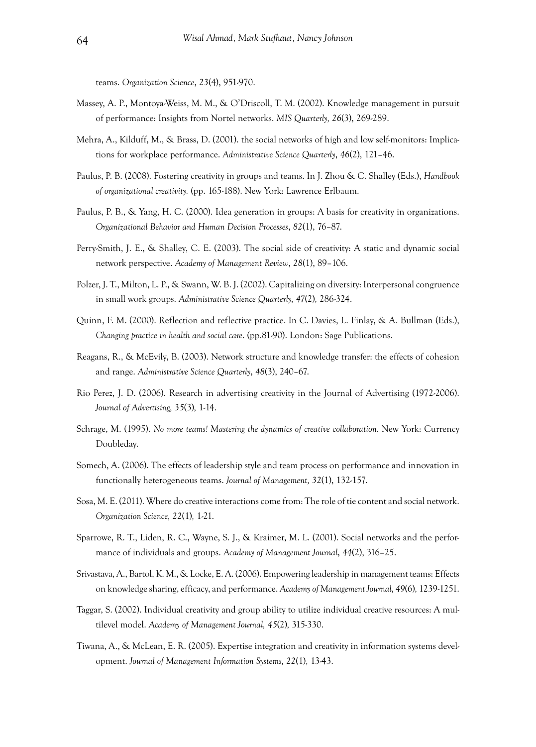teams. *Organization Science*, *23*(4), 951-970.

- Massey, A. P., Montoya-Weiss, M. M., & O'Driscoll, T. M. (2002). Knowledge management in pursuit of performance: Insights from Nortel networks. *MIS Quarterly, 26*(3), 269-289.
- Mehra, A., Kilduff, M., & Brass, D. (2001). the social networks of high and low self-monitors: Implications for workplace performance. *Administrative Science Quarterly*, *46*(2), 121–46.
- Paulus, P. B. (2008). Fostering creativity in groups and teams. In J. Zhou & C. Shalley (Eds.), *Handbook of organizational creativity.* (pp. 165-188). New York: Lawrence Erlbaum.
- Paulus, P. B., & Yang, H. C. (2000). Idea generation in groups: A basis for creativity in organizations. *Organizational Behavior and Human Decision Processes*, *82*(1), 76–87.
- Perry-Smith, J. E., & Shalley, C. E. (2003). The social side of creativity: A static and dynamic social network perspective. *Academy of Management Review*, *28*(1), 89–106.
- Polzer, J. T., Milton, L. P., & Swann, W. B. J. (2002). Capitalizing on diversity: Interpersonal congruence in small work groups. *Administrative Science Quarterly, 47*(2)*,* 286-324.
- Quinn, F. M. (2000). Reflection and reflective practice. In C. Davies, L. Finlay, & A. Bullman (Eds.), *Changing practice in health and social care*. (pp.81-90). London: Sage Publications.
- Reagans, R., & McEvily, B. (2003). Network structure and knowledge transfer: the effects of cohesion and range. *Administrative Science Quarterly*, *48*(3), 240–67.
- Rio Perez, J. D. (2006). Research in advertising creativity in the Journal of Advertising (1972-2006). *Journal of Advertising, 35*(3)*,* 1-14.
- Schrage, M. (1995). *No more teams! Mastering the dynamics of creative collaboration.* New York: Currency Doubleday.
- Somech, A. (2006). The effects of leadership style and team process on performance and innovation in functionally heterogeneous teams. *Journal of Management, 32*(1), 132-157.
- Sosa, M. E. (2011). Where do creative interactions come from: The role of tie content and social network. *Organization Science, 22*(1)*,* 1-21.
- Sparrowe, R. T., Liden, R. C., Wayne, S. J., & Kraimer, M. L. (2001). Social networks and the performance of individuals and groups. *Academy of Management Journal*, *44*(2), 316–25.
- Srivastava, A., Bartol, K. M., & Locke, E. A. (2006). Empowering leadership in management teams: Effects on knowledge sharing, efficacy, and performance. *Academy of Management Journal, 49*(6)*,* 1239-1251.
- Taggar, S. (2002). Individual creativity and group ability to utilize individual creative resources: A multilevel model. *Academy of Management Journal, 45*(2)*,* 315-330.
- Tiwana, A., & McLean, E. R. (2005). Expertise integration and creativity in information systems development. *Journal of Management Information Systems, 22*(1)*,* 13-43.